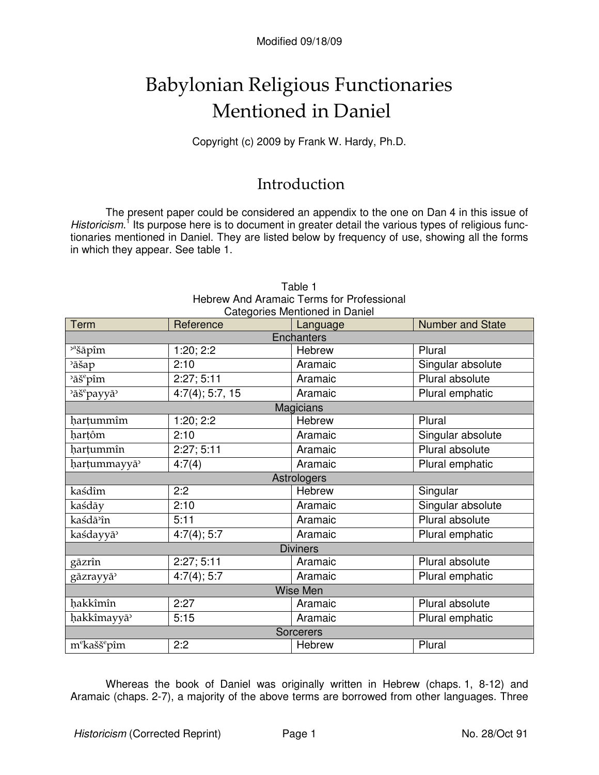# **Babylonian Religious Functionaries** Mentioned in Daniel

Copyright (c) 2009 by Frank W. Hardy, Ph.D.

### Introduction

The present paper could be considered an appendix to the one on Dan 4 in this issue of Historicism.<sup>1</sup> Its purpose here is to document in greater detail the various types of religious functionaries mentioned in Daniel. They are listed below by frequency of use, showing all the forms in which they appear. See table 1.

|                                      |                 | Categories Mentioned in Daniel |                         |  |  |
|--------------------------------------|-----------------|--------------------------------|-------------------------|--|--|
| Term                                 | Reference       | Language                       | <b>Number and State</b> |  |  |
| <b>Enchanters</b>                    |                 |                                |                         |  |  |
| <sup>2ª</sup> šāpîm                  | 1:20; 2:2       | <b>Hebrew</b>                  | Plural                  |  |  |
| <sup>2</sup> āšap                    | 2:10            | Aramaic                        | Singular absolute       |  |  |
| <sup>2</sup> āš <sup>e</sup> pîm     | 2:27;5:11       | Aramaic                        | Plural absolute         |  |  |
| <sup>2</sup> āš <sup>e</sup> payyā   | 4:7(4); 5:7, 15 | Aramaic                        | Plural emphatic         |  |  |
| <b>Magicians</b>                     |                 |                                |                         |  |  |
| hartummîm                            | 1:20; 2:2       | Hebrew                         | Plural                  |  |  |
| hartôm                               | 2:10            | Aramaic                        | Singular absolute       |  |  |
| harțummîn                            | 2:27;5:11       | Aramaic                        | Plural absolute         |  |  |
| harțummayyā                          | 4:7(4)          | Aramaic                        | Plural emphatic         |  |  |
| Astrologers                          |                 |                                |                         |  |  |
| kaśdîm                               | 2:2             | Hebrew                         | Singular                |  |  |
| kaśdāy                               | 2:10            | Aramaic                        | Singular absolute       |  |  |
| kaśdā <sup>9</sup> în                | 5:11            | Aramaic                        | Plural absolute         |  |  |
| kaśdayyā                             | 4:7(4); 5:7     | Aramaic                        | Plural emphatic         |  |  |
| <b>Diviners</b>                      |                 |                                |                         |  |  |
| gāzrîn                               | 2:27;5:11       | Aramaic                        | Plural absolute         |  |  |
| gāzrayyā <sup>&gt;</sup>             | 4:7(4); 5:7     | Aramaic                        | Plural emphatic         |  |  |
| Wise Men                             |                 |                                |                         |  |  |
| hakkîmîn                             | 2:27            | Aramaic                        | Plural absolute         |  |  |
| hakkîmayyā <sup>3</sup>              | 5:15            | Aramaic                        | Plural emphatic         |  |  |
| <b>Sorcerers</b>                     |                 |                                |                         |  |  |
| m <sup>e</sup> kašš <sup>e</sup> pîm | 2:2             | Hebrew                         | Plural                  |  |  |

### Table 1 Hebrew And Aramaic Terms for Professional

Whereas the book of Daniel was originally written in Hebrew (chaps 1, 8-12) and Aramaic (chaps. 2-7), a majority of the above terms are borrowed from other languages. Three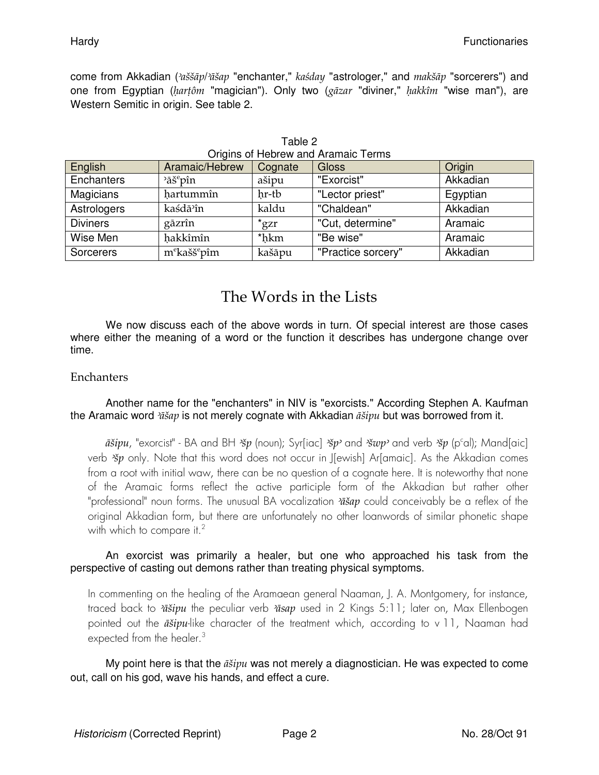come from Akkadian ('aššāp/'āšap "enchanter," kaśday "astrologer," and makšāp "sorcerers") and one from Egyptian (hartôm "magician"). Only two (gāzar "diviner," hakkîm "wise man"), are Western Semitic in origin. See table 2.

| English         | Aramaic/Hebrew                       | Cognate       | <b>Gloss</b>       | Origin   |
|-----------------|--------------------------------------|---------------|--------------------|----------|
| Enchanters      | $\delta$ aš $\epsilon$ pîn           | ašipu         | "Exorcist"         | Akkadian |
| Magicians       | hartummîn                            | hr-tb         | "Lector priest"    | Egyptian |
| Astrologers     | kaśdā <sup>3</sup> în                | kaldu         | "Chaldean"         | Akkadian |
| <b>Diviners</b> | gāzrîn                               | $*_{\rm gZr}$ | "Cut, determine"   | Aramaic  |
| Wise Men        | hakkîmîn                             | *hkm          | "Be wise"          | Aramaic  |
| Sorcerers       | m <sup>e</sup> kašš <sup>e</sup> pîm | kašāpu        | "Practice sorcery" | Akkadian |

| Table 2                             |
|-------------------------------------|
| Origins of Hebrew and Aramaic Terms |

### The Words in the Lists

We now discuss each of the above words in turn. Of special interest are those cases where either the meaning of a word or the function it describes has undergone change over time.

#### Enchanters

#### Another name for the "enchanters" in NIV is "exorcists." According Stephen A. Kaufman the Aramaic word  $\tilde{a} \tilde{s} ap$  is not merely cognate with Akkadian  $\tilde{a} \tilde{s} i p u$  but was borrowed from it.

 $\bar{a}$ sipu, "exorcist" - BA and BH  $\check{z}p$  (noun); Syrfiac]  $\check{z}p$  and  $\check{z}wp$  and verb  $\check{z}p$  (p<sup>c</sup>al); Mandfaic] verb  $\frac{36p}{5}$  only. Note that this word does not occur in J[ewish] Ar[amaic]. As the Akkadian comes from a root with initial waw, there can be no question of a cognate here. It is noteworthy that none of the Aramaic forms reflect the active participle form of the Akkadian but rather other "professional" noun forms. The unusual BA vocalization  $\tilde{i}$  and conceivably be a reflex of the original Akkadian form, but there are unfortunately no other loanwords of similar phonetic shape with which to compare it.<sup>2</sup>

#### An exorcist was primarily a healer, but one who approached his task from the perspective of casting out demons rather than treating physical symptoms.

In commenting on the healing of the Aramaean general Naaman, J. A. Montgomery, for instance, traced back to *'ūšipu* the peculiar verb *'ūsap* used in 2 Kings 5:11; later on, Max Ellenbogen pointed out the  $\vec{a}$ sipu-like character of the treatment which, according to v 11, Naaman had expected from the healer. $3$ 

My point here is that the  $\vec{a}$  sipu was not merely a diagnostician. He was expected to come out, call on his god, wave his hands, and effect a cure.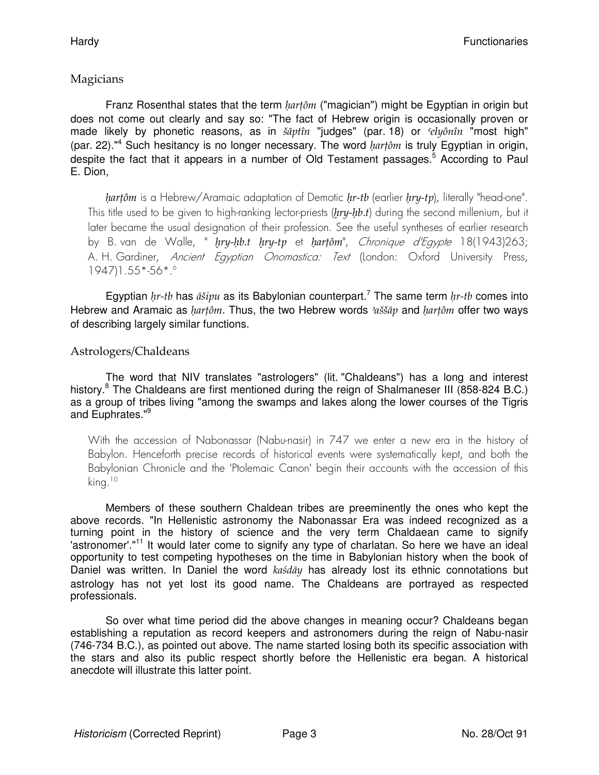#### Magicians

Franz Rosenthal states that the term  $\text{harf} \hat{\theta}$  ("magician") might be Egyptian in origin but does not come out clearly and say so: "The fact of Hebrew origin is occasionally proven or made likely by phonetic reasons, as in šāptîn "judges" (par. 18) or *'elyônîn* "most high" (par. 22)."<sup>4</sup> Such hesitancy is no longer necessary. The word  $\text{harf} \hat{\theta}m$  is truly Egyptian in origin, despite the fact that it appears in a number of Old Testament passages.<sup>5</sup> According to Paul E. Dion,

hartôm is a Hebrew/Aramaic adaptation of Demotic hr-tb (earlier hry-tp), literally "head-one". This title used to be given to high-ranking lector-priests ( $hry-hb.t$ ) during the second millenium, but it later became the usual designation of their profession. See the useful syntheses of earlier research by B. van de Walle, " try-hb.t hry-tp et hartôm", Chronique d'Egypte 18(1943)263; A. H. Gardiner, Ancient Egyptian Onomastica: Text (London: Oxford University Press, 1947)1.55\*-56\*.<sup>6</sup>

Egyptian  $hr$ -tb has  $\bar{a}$ sipu as its Babylonian counterpart.<sup>7</sup> The same term  $hr$ -tb comes into Hebrew and Aramaic as *hartôm*. Thus, the two Hebrew words  $2a\ddot{\theta}$  and *hartôm* offer two ways of describing largely similar functions.

#### Astrologers/Chaldeans

The word that NIV translates "astrologers" (lit. "Chaldeans") has a long and interest history.<sup>8</sup> The Chaldeans are first mentioned during the reign of Shalmaneser III (858-824 B.C.) as a group of tribes living "among the swamps and lakes along the lower courses of the Tigris and Euphrates."<sup>9</sup>

With the accession of Nabonassar (Nabu-nasir) in 747 we enter a new era in the history of Babylon. Henceforth precise records of historical events were systematically kept, and both the Babylonian Chronicle and the 'Ptolemaic Canon' begin their accounts with the accession of this king.<sup>10</sup>

Members of these southern Chaldean tribes are preeminently the ones who kept the above records. "In Hellenistic astronomy the Nabonassar Era was indeed recognized as a turning point in the history of science and the very term Chaldaean came to signify 'astronomer'."<sup>11</sup> It would later come to signify any type of charlatan. So here we have an ideal opportunity to test competing hypotheses on the time in Babylonian history when the book of Daniel was written. In Daniel the word kasday has already lost its ethnic connotations but astrology has not yet lost its good name. The Chaldeans are portrayed as respected professionals.

So over what time period did the above changes in meaning occur? Chaldeans began establishing a reputation as record keepers and astronomers during the reign of Nabu-nasir (746-734 B.C.), as pointed out above. The name started losing both its specific association with the stars and also its public respect shortly before the Hellenistic era began. A historical anecdote will illustrate this latter point.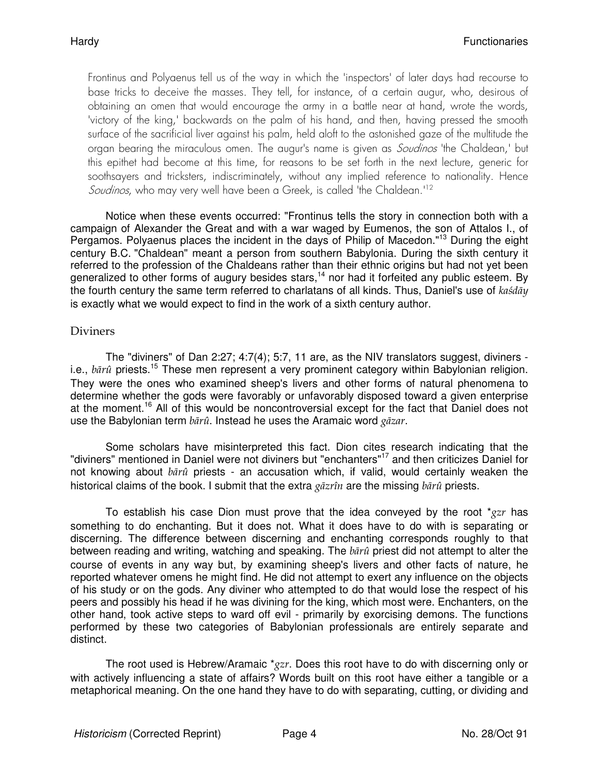Frontinus and Polyaenus tell us of the way in which the 'inspectors' of later days had recourse to base tricks to deceive the masses. They tell, for instance, of a certain augur, who, desirous of obtaining an omen that would encourage the army in a battle near at hand, wrote the words, 'victory of the king,' backwards on the palm of his hand, and then, having pressed the smooth surface of the sacrificial liver against his palm, held aloft to the astonished gaze of the multitude the organ bearing the miraculous omen. The augur's name is given as *Soudinos* 'the Chaldean,' but this epithet had become at this time, for reasons to be set forth in the next lecture, generic for soothsayers and tricksters, indiscriminately, without any implied reference to nationality. Hence Soudinos, who may very well have been a Greek, is called 'the Chaldean.'<sup>12</sup>

Notice when these events occurred: "Frontinus tells the story in connection both with a campaign of Alexander the Great and with a war waged by Eumenos, the son of Attalos I., of Pergamos. Polyaenus places the incident in the days of Philip of Macedon."<sup>13</sup> During the eight century B.C. "Chaldean" meant a person from southern Babylonia. During the sixth century it referred to the profession of the Chaldeans rather than their ethnic origins but had not yet been generalized to other forms of augury besides stars,<sup>14</sup> nor had it forfeited any public esteem. By the fourth century the same term referred to charlatans of all kinds. Thus, Daniel's use of kasday is exactly what we would expect to find in the work of a sixth century author.

#### **Diviners**

The "diviners" of Dan 2:27; 4:7(4); 5:7, 11 are, as the NIV translators suggest, diviners i.e.,  $b\bar{a}r\hat{u}$  priests.<sup>15</sup> These men represent a very prominent category within Babylonian religion. They were the ones who examined sheep's livers and other forms of natural phenomena to determine whether the gods were favorably or unfavorably disposed toward a given enterprise at the moment.<sup>16</sup> All of this would be noncontroversial except for the fact that Daniel does not use the Babylonian term  $b\bar{a}r\hat{u}$ . Instead he uses the Aramaic word g $\bar{a}zar$ .

Some scholars have misinterpreted this fact. Dion cites research indicating that the "diviners" mentioned in Daniel were not diviners but "enchanters"<sup>17</sup> and then criticizes Daniel for not knowing about  $b\bar{a}r\hat{u}$  priests - an accusation which, if valid, would certainly weaken the historical claims of the book. I submit that the extra gāzrîn are the missing  $b\bar{a}r\hat{u}$  priests.

To establish his case Dion must prove that the idea conveyed by the root  $*_{ZZr}$  has something to do enchanting. But it does not. What it does have to do with is separating or discerning. The difference between discerning and enchanting corresponds roughly to that between reading and writing, watching and speaking. The  $b\bar{a}r\hat{u}$  priest did not attempt to alter the course of events in any way but, by examining sheep's livers and other facts of nature, he reported whatever omens he might find. He did not attempt to exert any influence on the objects of his study or on the gods. Any diviner who attempted to do that would lose the respect of his peers and possibly his head if he was divining for the king, which most were. Enchanters, on the other hand, took active steps to ward off evil - primarily by exorcising demons. The functions performed by these two categories of Babylonian professionals are entirely separate and distinct.

The root used is Hebrew/Aramaic  $*_{ZZr}$ . Does this root have to do with discerning only or with actively influencing a state of affairs? Words built on this root have either a tangible or a metaphorical meaning. On the one hand they have to do with separating, cutting, or dividing and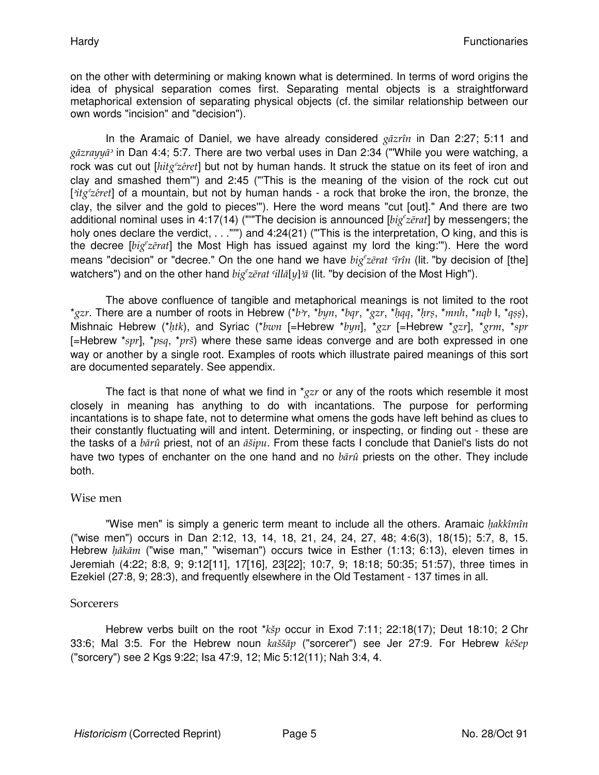on the other with determining or making known what is determined. In terms of word origins the idea of physical separation comes first. Separating mental objects is a straightforward metaphorical extension of separating physical objects (cf. the similar relationship between our own words "incision" and "decision").

In the Aramaic of Daniel, we have already considered gāzrîn in Dan 2:27; 5:11 and  $g\bar{a}z\gamma\gamma\gamma\gamma\gamma\gamma\gamma$  in Dan 4:4; 5:7. There are two verbal uses in Dan 2:34 ("While you were watching, a rock was cut out [hitg<sup>e</sup>zeret] but not by human hands. It struck the statue on its feet of iron and clay and smashed them'") and 2:45 ("'This is the meaning of the vision of the rock cut out ['itg<sup>e</sup>zeret] of a mountain, but not by human hands - a rock that broke the iron, the bronze, the clay, the silver and the gold to pieces'"). Here the word means "cut [out]." And there are two additional nominal uses in 4:17(14) (""The decision is announced [big zerat] by messengers; the holy ones declare the verdict, . . . "") and 4:24(21) ("This is the interpretation, O king, and this is the decree [ $big'z\bar{e}rat$ ] the Most High has issued against my lord the king:""). Here the word means "decision" or "decree." On the one hand we have  $big'z\bar{e}rat$   $\hat{v}\hat{r}\hat{n}$  (lit. "by decision of [the] watchers") and on the other hand  $big'z\bar{e}rat$   $ill\bar{a}[y]\bar{a}$  (lit. "by decision of the Most High").

The above confluence of tangible and metaphorical meanings is not limited to the root \*gzr. There are a number of roots in Hebrew (\*b>r, \*byn, \*bqr, \*gzr, \*hqq, \*hrs, \*mnh, \*nqb I, \*qss), Mishnaic Hebrew (\*htk), and Syriac (\*bwn [=Hebrew \*byn], \*gzr [=Hebrew \*gzr], \*grm, \*spr [=Hebrew \*spr], \*psq, \*prš) where these same ideas converge and are both expressed in one way or another by a single root. Examples of roots which illustrate paired meanings of this sort are documented separately. See appendix.

The fact is that none of what we find in  $*_{gz}r$  or any of the roots which resemble it most closely in meaning has anything to do with incantations. The purpose for performing incantations is to shape fate, not to determine what omens the gods have left behind as clues to their constantly fluctuating will and intent. Determining, or inspecting, or finding out - these are the tasks of a  $b\bar{a}r\hat{u}$  priest, not of an  $\bar{a}\check{si}pu$ . From these facts I conclude that Daniel's lists do not have two types of enchanter on the one hand and no  $b\bar{a}r\hat{u}$  priests on the other. They include both.

#### Wise men

"Wise men" is simply a generic term meant to include all the others. Aramaic  $hakkîmîn$ ("wise men") occurs in Dan 2:12, 13, 14, 18, 21, 24, 24, 27, 48; 4:6(3), 18(15); 5:7, 8, 15. Hebrew hākām ("wise man," "wiseman") occurs twice in Esther (1:13; 6:13), eleven times in Jeremiah (4:22; 8:8, 9; 9:12[11], 17[16], 23[22]; 10:7, 9; 18:18; 50:35; 51:57), three times in Ezekiel (27:8, 9; 28:3), and frequently elsewhere in the Old Testament - 137 times in all.

#### **Sorcerers**

Hebrew verbs built on the root \* $k\breve{s}p$  occur in Exod 7:11; 22:18(17); Deut 18:10; 2 Chr 33:6; Mal 3:5. For the Hebrew noun  $k a \check{s} \check{a} p$  ("sorcerer") see Jer 27:9. For Hebrew  $k \check{e} \check{s} e p$ ("sorcery") see 2 Kgs 9:22; Isa 47:9, 12; Mic 5:12(11); Nah 3:4, 4.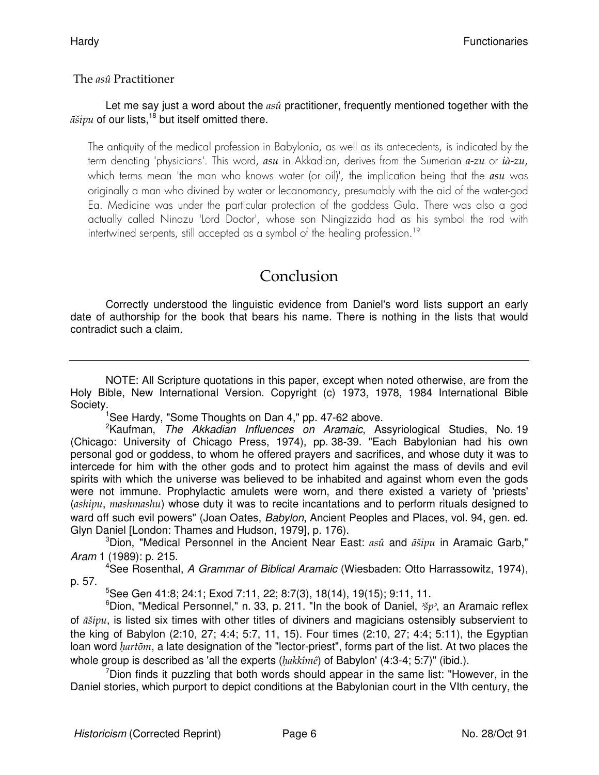#### The *asû* Practitioner

#### Let me say just a word about the  $as\hat{u}$  practitioner, frequently mentioned together with the  $\tilde{a}$ sivu of our lists.<sup>18</sup> but itself omitted there.

The antiquity of the medical profession in Babylonia, as well as its antecedents, is indicated by the term denoting 'physicians'. This word, asu in Akkadian, derives from the Sumerian a-zu or i*à*-zu, which terms mean 'the man who knows water (or oil)', the implication being that the  $asu$  was originally a man who divined by water or lecanomancy, presumably with the aid of the water-god Ea. Medicine was under the particular protection of the goddess Gula. There was also a god actually called Ninazu 'Lord Doctor', whose son Ningizzida had as his symbol the rod with intertwined serpents, still accepted as a symbol of the healing profession.<sup>19</sup>

## Conclusion

Correctly understood the linguistic evidence from Daniel's word lists support an early date of authorship for the book that bears his name. There is nothing in the lists that would contradict such a claim.

NOTE: All Scripture quotations in this paper, except when noted otherwise, are from the Holy Bible, New International Version. Copyright (c) 1973, 1978, 1984 International Bible Society.

<sup>1</sup>See Hardy, "Some Thoughts on Dan 4," pp. 47-62 above.

<sup>2</sup>Kaufman, The Akkadian Influences on Aramaic, Assyriological Studies, No. 19 (Chicago: University of Chicago Press, 1974), pp. 38-39. "Each Babylonian had his own personal god or goddess, to whom he offered prayers and sacrifices, and whose duty it was to intercede for him with the other gods and to protect him against the mass of devils and evil spirits with which the universe was believed to be inhabited and against whom even the gods were not immune. Prophylactic amulets were worn, and there existed a variety of 'priests' (ashipu, mashmashu) whose duty it was to recite incantations and to perform rituals designed to ward off such evil powers" (Joan Oates, Babylon, Ancient Peoples and Places, vol. 94, gen. ed. Glyn Daniel [London: Thames and Hudson, 1979], p. 176).

<sup>3</sup>Dion, "Medical Personnel in the Ancient Near East: asû and  $\tilde{a}$ *sipu* in Aramaic Garb," Aram 1 (1989): p. 215.

<sup>4</sup>See Rosenthal, A Grammar of Biblical Aramaic (Wiesbaden: Otto Harrassowitz, 1974), p. 57.

 $5$ See Gen 41:8; 24:1; Exod 7:11, 22; 8:7(3), 18(14), 19(15); 9:11, 11.

<sup>6</sup>Dion, "Medical Personnel," n. 33, p. 211. "In the book of Daniel,  $\gamma p$ , an Aramaic reflex of  $\tilde{a}$ sipu, is listed six times with other titles of diviners and magicians ostensibly subservient to the king of Babylon (2:10, 27; 4:4; 5:7, 11, 15). Four times (2:10, 27; 4:4; 5:11), the Egyptian loan word *hartom*, a late designation of the "lector-priest", forms part of the list. At two places the whole group is described as 'all the experts  $(hak\hat{x})$  of Babylon' (4:3-4; 5:7)" (ibid.).

 $7$ Dion finds it puzzling that both words should appear in the same list: "However, in the Daniel stories, which purport to depict conditions at the Babylonian court in the VIth century, the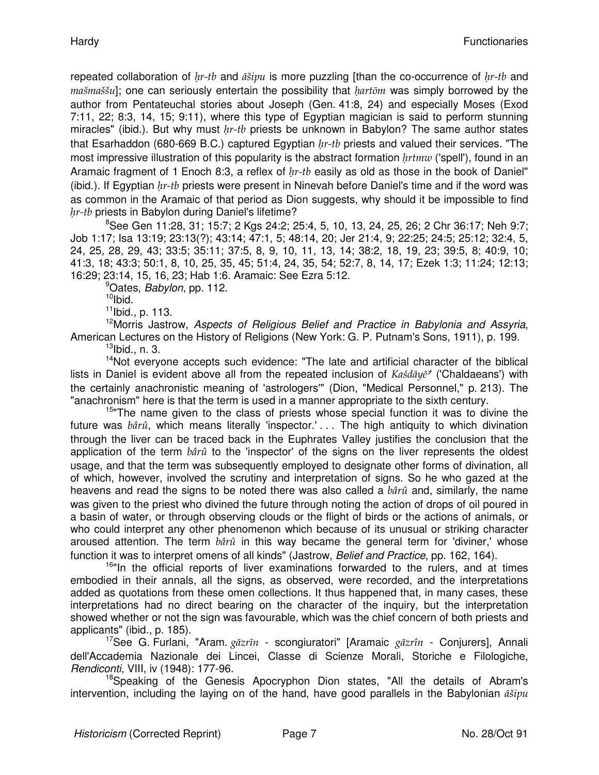repeated collaboration of  $hr$ -tb and  $\tilde{a}$ sipu is more puzzling [than the co-occurrence of  $hr$ -tb and  $ma\ddot{s}ma\ddot{s}\dot{s}u$ ]; one can seriously entertain the possibility that  $hart\ddot{o}m$  was simply borrowed by the author from Pentateuchal stories about Joseph (Gen. 41:8, 24) and especially Moses (Exod 7:11, 22; 8:3, 14, 15; 9:11), where this type of Egyptian magician is said to perform stunning miracles" (ibid.). But why must  $hr-tb$  priests be unknown in Babylon? The same author states that Esarhaddon (680-669 B.C.) captured Egyptian  $hr$ -tb priests and valued their services. "The most impressive illustration of this popularity is the abstract formation  $\text{hrt}$  ('spell'), found in an Aramaic fragment of 1 Enoch 8:3, a reflex of  $hr-tb$  easily as old as those in the book of Daniel" (ibid.). If Egyptian  $hr$ -tb priests were present in Ninevah before Daniel's time and if the word was as common in the Aramaic of that period as Dion suggests, why should it be impossible to find  $hr$ -tb priests in Babylon during Daniel's lifetime?

<sup>8</sup>See Gen 11:28, 31; 15:7; 2 Kgs 24:2; 25:4, 5, 10, 13, 24, 25, 26; 2 Chr 36:17; Neh 9:7; Job 1:17; Isa 13:19; 23:13(?); 43:14; 47:1, 5; 48:14, 20; Jer 21:4, 9; 22:25; 24:5; 25:12; 32:4, 5, 24, 25, 28, 29, 43; 33:5; 35:11; 37:5, 8, 9, 10, 11, 13, 14; 38:2, 18, 19, 23; 39:5, 8; 40:9, 10; 41:3, 18; 43:3; 50:1, 8, 10, 25, 35, 45; 51:4, 24, 35, 54; 52:7, 8, 14, 17; Ezek 1:3; 11:24; 12:13; 16:29; 23:14, 15, 16, 23; Hab 1:6. Aramaic: See Ezra 5:12.

<sup>9</sup>Oates, *Babylon*, pp. 112.

 $10$ Ibid.

<sup>11</sup>Ibid., p. 113.

<sup>12</sup>Morris Jastrow, Aspects of Religious Belief and Practice in Babylonia and Assyria, American Lectures on the History of Religions (New York: G. P. Putnam's Sons, 1911), p. 199.  $13$ Ibid., n. 3.

<sup>14</sup>Not everyone accepts such evidence: "The late and artificial character of the biblical lists in Daniel is evident above all from the repeated inclusion of  $Kas\bar{d}\bar{a}\psi\bar{e}$ " ('Chaldaeans') with the certainly anachronistic meaning of 'astrologers'" (Dion, "Medical Personnel," p. 213). The "anachronism" here is that the term is used in a manner appropriate to the sixth century.

<sup>15</sup>"The name given to the class of priests whose special function it was to divine the future was  $b\hat{a}r\hat{u}$ , which means literally 'inspector.' . . The high antiquity to which divination through the liver can be traced back in the Euphrates Valley justifies the conclusion that the application of the term  $b\hat{a}r\hat{u}$  to the 'inspector' of the signs on the liver represents the oldest usage, and that the term was subsequently employed to designate other forms of divination, all of which, however, involved the scrutiny and interpretation of signs. So he who gazed at the heavens and read the signs to be noted there was also called a  $b\hat{a}r\hat{u}$  and, similarly, the name was given to the priest who divined the future through noting the action of drops of oil poured in a basin of water, or through observing clouds or the flight of birds or the actions of animals, or who could interpret any other phenomenon which because of its unusual or striking character aroused attention. The term  $b\hat{x}\hat{n}$  in this way became the general term for 'diviner,' whose function it was to interpret omens of all kinds" (Jastrow, Belief and Practice, pp. 162, 164).

<sup>16"</sup>In the official reports of liver examinations forwarded to the rulers, and at times embodied in their annals, all the signs, as observed, were recorded, and the interpretations added as quotations from these omen collections. It thus happened that, in many cases, these interpretations had no direct bearing on the character of the inquiry, but the interpretation showed whether or not the sign was favourable, which was the chief concern of both priests and applicants" (ibid., p. 185).

 $17$ See G. Furlani, "Aram. gāzrīn - scongiuratori" [Aramaic gāzrîn - Conjurers], Annali dell'Accademia Nazionale dei Lincei, Classe di Scienze Morali, Storiche e Filologiche, Rendiconti, VIII, iv (1948): 177-96.

<sup>18</sup>Speaking of the Genesis Apocryphon Dion states, "All the details of Abram's intervention, including the laying on of the hand, have good parallels in the Babylonian  $\vec{a}$ sipu